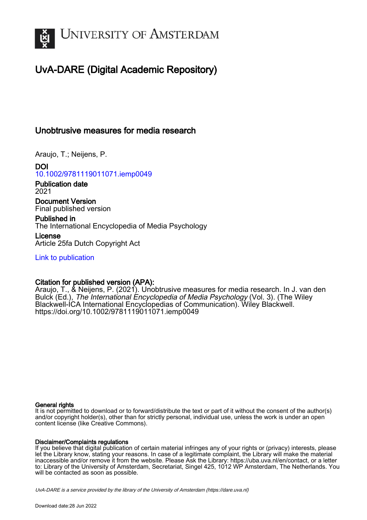

# UvA-DARE (Digital Academic Repository)

# Unobtrusive measures for media research

Araujo, T.; Neijens, P.

DOI [10.1002/9781119011071.iemp0049](https://doi.org/10.1002/9781119011071.iemp0049)

Publication date 2021

Document Version Final published version

Published in The International Encyclopedia of Media Psychology License

Article 25fa Dutch Copyright Act

[Link to publication](https://dare.uva.nl/personal/pure/en/publications/unobtrusive-measures-for-media-research(dbfbd632-769a-49e5-b851-3c26816c10bd).html)

## Citation for published version (APA):

Araujo, T., & Neijens, P. (2021). Unobtrusive measures for media research. In J. van den Bulck (Ed.), The International Encyclopedia of Media Psychology (Vol. 3). (The Wiley Blackwell-ICA International Encyclopedias of Communication). Wiley Blackwell. <https://doi.org/10.1002/9781119011071.iemp0049>

### General rights

It is not permitted to download or to forward/distribute the text or part of it without the consent of the author(s) and/or copyright holder(s), other than for strictly personal, individual use, unless the work is under an open content license (like Creative Commons).

### Disclaimer/Complaints regulations

If you believe that digital publication of certain material infringes any of your rights or (privacy) interests, please let the Library know, stating your reasons. In case of a legitimate complaint, the Library will make the material inaccessible and/or remove it from the website. Please Ask the Library: https://uba.uva.nl/en/contact, or a letter to: Library of the University of Amsterdam, Secretariat, Singel 425, 1012 WP Amsterdam, The Netherlands. You will be contacted as soon as possible.

UvA-DARE is a service provided by the library of the University of Amsterdam (http*s*://dare.uva.nl)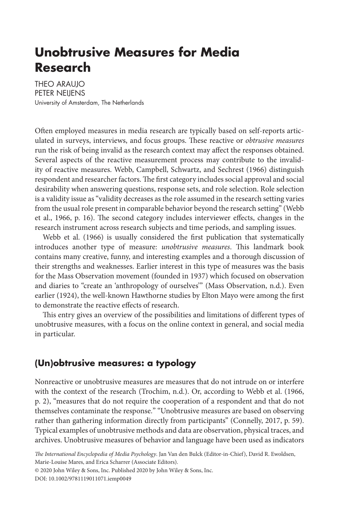# **Unobtrusive Measures for Media Research**

**THEO ARAUIO** PETER NEIJENS University of Amsterdam, The Netherlands

Often employed measures in media research are typically based on self-reports articulated in surveys, interviews, and focus groups. These reactive or *obtrusive measures* run the risk of being invalid as the research context may affect the responses obtained. Several aspects of the reactive measurement process may contribute to the invalidity of reactive measures. Webb, Campbell, Schwartz, and Sechrest (1966) distinguish respondent and researcher factors.The first category includes social approval and social desirability when answering questions, response sets, and role selection. Role selection is a validity issue as "validity decreases as the role assumed in the research setting varies from the usual role present in comparable behavior beyond the research setting" (Webb et al., 1966, p. 16). The second category includes interviewer effects, changes in the research instrument across research subjects and time periods, and sampling issues.

Webb et al. (1966) is usually considered the first publication that systematically introduces another type of measure: *unobtrusive measures*. This landmark book contains many creative, funny, and interesting examples and a thorough discussion of their strengths and weaknesses. Earlier interest in this type of measures was the basis for the Mass Observation movement (founded in 1937) which focused on observation and diaries to "create an 'anthropology of ourselves'" (Mass Observation, n.d.). Even earlier (1924), the well-known Hawthorne studies by Elton Mayo were among the first to demonstrate the reactive effects of research.

This entry gives an overview of the possibilities and limitations of different types of unobtrusive measures, with a focus on the online context in general, and social media in particular.

# **(Un)obtrusive measures: a typology**

Nonreactive or unobtrusive measures are measures that do not intrude on or interfere with the context of the research (Trochim, n.d.). Or, according to Webb et al. (1966, p. 2), "measures that do not require the cooperation of a respondent and that do not themselves contaminate the response." "Unobtrusive measures are based on observing rather than gathering information directly from participants" (Connelly, 2017, p. 59). Typical examples of unobtrusive methods and data are observation, physical traces, and archives. Unobtrusive measures of behavior and language have been used as indicators

*The International Encyclopedia of Media Psychology*. Jan Van den Bulck (Editor-in-Chief), David R. Ewoldsen, Marie-Louise Mares, and Erica Scharrer (Associate Editors).

© 2020 John Wiley & Sons, Inc. Published 2020 by John Wiley & Sons, Inc.

DOI: 10.1002/9781119011071.iemp0049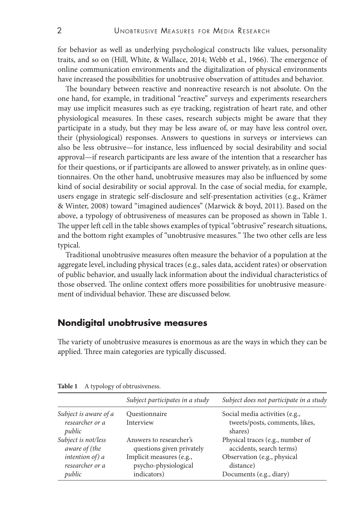for behavior as well as underlying psychological constructs like values, personality traits, and so on (Hill, White, & Wallace, 2014; Webb et al., 1966). The emergence of online communication environments and the digitalization of physical environments have increased the possibilities for unobtrusive observation of attitudes and behavior.

The boundary between reactive and nonreactive research is not absolute. On the one hand, for example, in traditional "reactive" surveys and experiments researchers may use implicit measures such as eye tracking, registration of heart rate, and other physiological measures. In these cases, research subjects might be aware that they participate in a study, but they may be less aware of, or may have less control over, their (physiological) responses. Answers to questions in surveys or interviews can also be less obtrusive—for instance, less influenced by social desirability and social approval—if research participants are less aware of the intention that a researcher has for their questions, or if participants are allowed to answer privately, as in online questionnaires. On the other hand, unobtrusive measures may also be influenced by some kind of social desirability or social approval. In the case of social media, for example, users engage in strategic self-disclosure and self-presentation activities (e.g., Krämer & Winter, 2008) toward "imagined audiences" (Marwick & boyd, 2011). Based on the above, a typology of obtrusiveness of measures can be proposed as shown in Table 1. The upper left cell in the table shows examples of typical "obtrusive" research situations, and the bottom right examples of "unobtrusive measures." The two other cells are less typical.

Traditional unobtrusive measures often measure the behavior of a population at the aggregate level, including physical traces (e.g., sales data, accident rates) or observation of public behavior, and usually lack information about the individual characteristics of those observed. The online context offers more possibilities for unobtrusive measurement of individual behavior. These are discussed below.

## **Nondigital unobtrusive measures**

The variety of unobtrusive measures is enormous as are the ways in which they can be applied. Three main categories are typically discussed.

|                                                    | Subject participates in a study                                 | Subject does not participate in a study                                     |
|----------------------------------------------------|-----------------------------------------------------------------|-----------------------------------------------------------------------------|
| Subject is aware of a<br>researcher or a<br>public | Questionnaire<br>Interview                                      | Social media activities (e.g.,<br>tweets/posts, comments, likes,<br>shares) |
| Subject is not/less<br>aware of (the               | Answers to researcher's<br>questions given privately            | Physical traces (e.g., number of<br>accidents, search terms)                |
| intention of) a<br>researcher or a<br>public       | Implicit measures (e.g.,<br>psycho-physiological<br>indicators) | Observation (e.g., physical<br>distance)<br>Documents (e.g., diary)         |

**Table 1** A typology of obtrusiveness.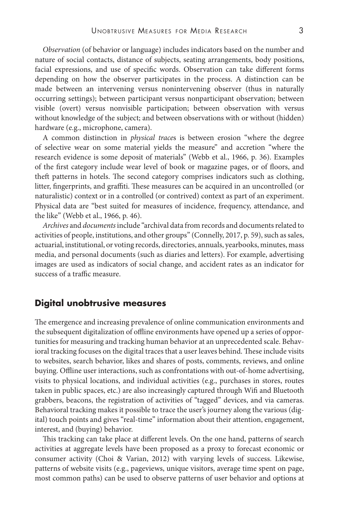*Observation* (of behavior or language) includes indicators based on the number and nature of social contacts, distance of subjects, seating arrangements, body positions, facial expressions, and use of specific words. Observation can take different forms depending on how the observer participates in the process. A distinction can be made between an intervening versus nonintervening observer (thus in naturally occurring settings); between participant versus nonparticipant observation; between visible (overt) versus nonvisible participation; between observation with versus without knowledge of the subject; and between observations with or without (hidden) hardware (e.g., microphone, camera).

A common distinction in *physical trace*s is between erosion "where the degree of selective wear on some material yields the measure" and accretion "where the research evidence is some deposit of materials" (Webb et al., 1966, p. 36). Examples of the first category include wear level of book or magazine pages, or of floors, and theft patterns in hotels. The second category comprises indicators such as clothing, litter, fingerprints, and graffiti. These measures can be acquired in an uncontrolled (or naturalistic) context or in a controlled (or contrived) context as part of an experiment. Physical data are "best suited for measures of incidence, frequency, attendance, and the like" (Webb et al., 1966, p. 46).

*Archives* and *documents*include "archival data from records and documents related to activities of people, institutions, and other groups" (Connelly, 2017, p. 59), such as sales, actuarial, institutional, or voting records, directories, annuals, yearbooks, minutes, mass media, and personal documents (such as diaries and letters). For example, advertising images are used as indicators of social change, and accident rates as an indicator for success of a traffic measure.

### **Digital unobtrusive measures**

The emergence and increasing prevalence of online communication environments and the subsequent digitalization of offline environments have opened up a series of opportunities for measuring and tracking human behavior at an unprecedented scale. Behavioral tracking focuses on the digital traces that a user leaves behind. These include visits to websites, search behavior, likes and shares of posts, comments, reviews, and online buying. Offline user interactions, such as confrontations with out-of-home advertising, visits to physical locations, and individual activities (e.g., purchases in stores, routes taken in public spaces, etc.) are also increasingly captured through Wifi and Bluetooth grabbers, beacons, the registration of activities of "tagged" devices, and via cameras. Behavioral tracking makes it possible to trace the user's journey along the various (digital) touch points and gives "real-time" information about their attention, engagement, interest, and (buying) behavior.

This tracking can take place at different levels. On the one hand, patterns of search activities at aggregate levels have been proposed as a proxy to forecast economic or consumer activity (Choi & Varian, 2012) with varying levels of success. Likewise, patterns of website visits (e.g., pageviews, unique visitors, average time spent on page, most common paths) can be used to observe patterns of user behavior and options at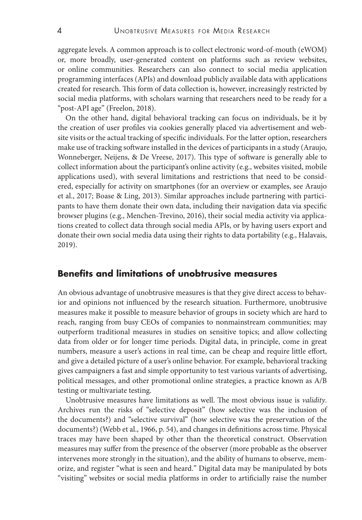aggregate levels. A common approach is to collect electronic word-of-mouth (eWOM) or, more broadly, user-generated content on platforms such as review websites, or online communities. Researchers can also connect to social media application programming interfaces (APIs) and download publicly available data with applications created for research. This form of data collection is, however, increasingly restricted by social media platforms, with scholars warning that researchers need to be ready for a "post-API age" (Freelon, 2018).

On the other hand, digital behavioral tracking can focus on individuals, be it by the creation of user profiles via cookies generally placed via advertisement and website visits or the actual tracking of specific individuals. For the latter option, researchers make use of tracking software installed in the devices of participants in a study (Araujo, Wonneberger, Neijens, & De Vreese, 2017). This type of software is generally able to collect information about the participant's online activity (e.g., websites visited, mobile applications used), with several limitations and restrictions that need to be considered, especially for activity on smartphones (for an overview or examples, see Araujo et al., 2017; Boase & Ling, 2013). Similar approaches include partnering with participants to have them donate their own data, including their navigation data via specific browser plugins (e.g., Menchen-Trevino, 2016), their social media activity via applications created to collect data through social media APIs, or by having users export and donate their own social media data using their rights to data portability (e.g., Halavais, 2019).

### **Benefits and limitations of unobtrusive measures**

An obvious advantage of unobtrusive measures is that they give direct access to behavior and opinions not influenced by the research situation. Furthermore, unobtrusive measures make it possible to measure behavior of groups in society which are hard to reach, ranging from busy CEOs of companies to nonmainstream communities; may outperform traditional measures in studies on sensitive topics; and allow collecting data from older or for longer time periods. Digital data, in principle, come in great numbers, measure a user's actions in real time, can be cheap and require little effort, and give a detailed picture of a user's online behavior. For example, behavioral tracking gives campaigners a fast and simple opportunity to test various variants of advertising, political messages, and other promotional online strategies, a practice known as A/B testing or multivariate testing.

Unobtrusive measures have limitations as well. The most obvious issue is *validity*. Archives run the risks of "selective deposit" (how selective was the inclusion of the documents?) and "selective survival" (how selective was the preservation of the documents?) (Webb et al., 1966, p. 54), and changes in definitions across time. Physical traces may have been shaped by other than the theoretical construct. Observation measures may suffer from the presence of the observer (more probable as the observer intervenes more strongly in the situation), and the ability of humans to observe, memorize, and register "what is seen and heard." Digital data may be manipulated by bots "visiting" websites or social media platforms in order to artificially raise the number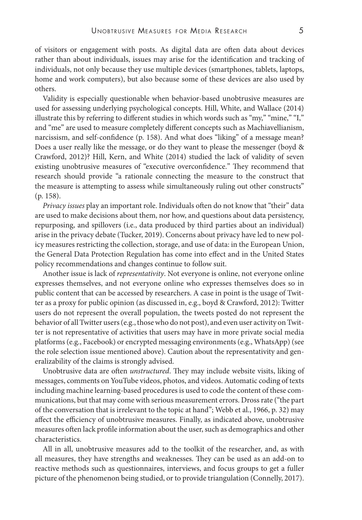of visitors or engagement with posts. As digital data are often data about devices rather than about individuals, issues may arise for the identification and tracking of individuals, not only because they use multiple devices (smartphones, tablets, laptops, home and work computers), but also because some of these devices are also used by others.

Validity is especially questionable when behavior-based unobtrusive measures are used for assessing underlying psychological concepts. Hill, White, and Wallace (2014) illustrate this by referring to different studies in which words such as "my," "mine," "I," and "me" are used to measure completely different concepts such as Machiavellianism, narcissism, and self-confidence (p. 158). And what does "liking" of a message mean? Does a user really like the message, or do they want to please the messenger (boyd & Crawford, 2012)? Hill, Kern, and White (2014) studied the lack of validity of seven existing unobtrusive measures of "executive overconfidence." They recommend that research should provide "a rationale connecting the measure to the construct that the measure is attempting to assess while simultaneously ruling out other constructs" (p. 158).

*Privacy issues* play an important role. Individuals often do not know that "their" data are used to make decisions about them, nor how, and questions about data persistency, repurposing, and spillovers (i.e., data produced by third parties about an individual) arise in the privacy debate (Tucker, 2019). Concerns about privacy have led to new policy measures restricting the collection, storage, and use of data: in the European Union, the General Data Protection Regulation has come into effect and in the United States policy recommendations and changes continue to follow suit.

Another issue is lack of *representativity*. Not everyone is online, not everyone online expresses themselves, and not everyone online who expresses themselves does so in public content that can be accessed by researchers. A case in point is the usage of Twitter as a proxy for public opinion (as discussed in, e.g., boyd & Crawford, 2012): Twitter users do not represent the overall population, the tweets posted do not represent the behavior of all Twitter users (e.g., those who do not post), and even user activity on Twitter is not representative of activities that users may have in more private social media platforms (e.g., Facebook) or encrypted messaging environments (e.g., WhatsApp) (see the role selection issue mentioned above). Caution about the representativity and generalizability of the claims is strongly advised.

Unobtrusive data are often *unstructured*. They may include website visits, liking of messages, comments on YouTube videos, photos, and videos. Automatic coding of texts including machine learning-based procedures is used to code the content of these communications, but that may come with serious measurement errors. Dross rate ("the part of the conversation that is irrelevant to the topic at hand"; Webb et al., 1966, p. 32) may affect the efficiency of unobtrusive measures. Finally, as indicated above, unobtrusive measures often lack profile information about the user, such as demographics and other characteristics.

All in all, unobtrusive measures add to the toolkit of the researcher, and, as with all measures, they have strengths and weaknesses. They can be used as an add-on to reactive methods such as questionnaires, interviews, and focus groups to get a fuller picture of the phenomenon being studied, or to provide triangulation (Connelly, 2017).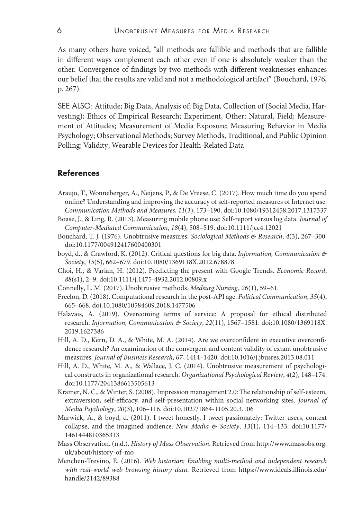As many others have voiced, "all methods are fallible and methods that are fallible in different ways complement each other even if one is absolutely weaker than the other. Convergence of findings by two methods with different weaknesses enhances our belief that the results are valid and not a methodological artifact" (Bouchard, 1976, p. 267).

SEE ALSO: Attitude; Big Data, Analysis of; Big Data, Collection of (Social Media, Harvesting); Ethics of Empirical Research; Experiment, Other: Natural, Field; Measurement of Attitudes; Measurement of Media Exposure; Measuring Behavior in Media Psychology; Observational Methods; Survey Methods, Traditional, and Public Opinion Polling; Validity; Wearable Devices for Health-Related Data

#### **References**

- Araujo, T., Wonneberger, A., Neijens, P., & De Vreese, C. (2017). How much time do you spend online? Understanding and improving the accuracy of self-reported measures of Internet use. *Communication Methods and Measures*, *11*(3), 173–190. doi:10.1080/19312458.2017.1317337
- Boase, J., & Ling, R. (2013). Measuring mobile phone use: Self-report versus log data. *Journal of Computer-Mediated Communication*, *18*(4), 508–519. doi:10.1111/jcc4.12021
- Bouchard, T. J. (1976). Unobtrusive measures. *Sociological Methods & Research*, *4*(3), 267–300. doi:10.1177/004912417600400301
- boyd, d., & Crawford, K. (2012). Critical questions for big data. *Information, Communication & Society*, *15*(5), 662–679. doi:10.1080/1369118X.2012.678878
- Choi, H., & Varian, H. (2012). Predicting the present with Google Trends. *Economic Record*, *88*(s1), 2–9. doi:10.1111/j.1475-4932.2012.00809.x
- Connelly, L. M. (2017). Unobtrusive methods. *Medsurg Nursing*, *26*(1), 59–61.
- Freelon, D. (2018). Computational research in the post-API age. *Political Communication*, *35*(4), 665–668. doi:10.1080/10584609.2018.1477506
- Halavais, A. (2019). Overcoming terms of service: A proposal for ethical distributed research. *Information, Communication & Society*, *22*(11), 1567–1581. doi:10.1080/1369118X. 2019.1627386
- Hill, A. D., Kern, D. A., & White, M. A. (2014). Are we overconfident in executive overconfidence research? An examination of the convergent and content validity of extant unobtrusive measures. *Journal of Business Research*, *67*, 1414–1420. doi:10.1016/j.jbusres.2013.08.011
- Hill, A. D., White, M. A., & Wallace, J. C. (2014). Unobtrusive measurement of psychological constructs in organizational research. *Organizational Psychological Review*, *4*(2), 148–174. doi:10.1177/2041386613505613
- Krämer, N. C., & Winter, S. (2008). Impression management 2.0: The relationship of self-esteem, extraversion, self-efficacy, and self-presentation within social networking sites. *Journal of Media Psychology*, *20*(3), 106–116. doi:10.1027/1864-1105.20.3.106
- Marwick, A., & boyd, d. (2011). I tweet honestly, I tweet passionately: Twitter users, context collapse, and the imagined audience. *New Media & Society*, *13*(1), 114–133. doi:10.1177/ 1461444810365313
- Mass Observation. (n.d.). *History of Mass Observation*. Retrieved from [http://www.massobs.org.](http://www.massobs.org.uk/about/history-of-mo) [uk/about/history-of-mo](http://www.massobs.org.uk/about/history-of-mo)
- Menchen-Trevino, E. (2016). *Web historian: Enabling multi-method and independent research with real-world web browsing history data*. Retrieved from [https://www.ideals.illinois.edu/](https://www.ideals.illinois.edu/handle/2142/89388) [handle/2142/89388](https://www.ideals.illinois.edu/handle/2142/89388)